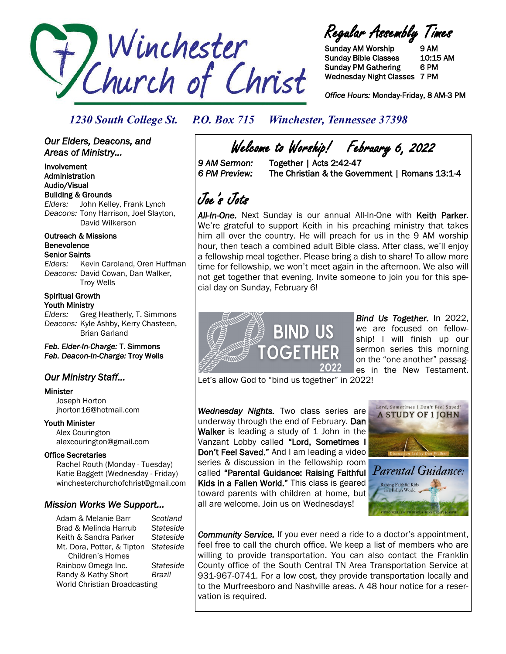

Regular Assembly Times

Sunday AM Worship 9 AM Sunday Bible Classes 10:15 AM Sunday PM Gathering 6 PM Wednesday Night Classes 7 PM

*Office Hours:* Monday-Friday, 8 AM-3 PM

## *1230 South College St. P.O. Box 715 Winchester, Tennessee 37398*

## *Our Elders, Deacons, and Areas of Ministry...*

Involvement Administration Audio/Visual Building & Grounds *Elders:* John Kelley, Frank Lynch *Deacons:* Tony Harrison, Joel Slayton, David Wilkerson

#### Outreach & Missions Benevolence Senior Saints

*Elders:* Kevin Caroland, Oren Huffman *Deacons:* David Cowan, Dan Walker, Troy Wells

### Spiritual Growth Youth Ministry

*Elders:* Greg Heatherly, T. Simmons *Deacons:* Kyle Ashby, Kerry Chasteen, Brian Garland

*Feb. Elder-In-Charge:* T. Simmons *Feb. Deacon-In-Charge:* Troy Wells

## *Our Ministry Staff…*

## Minister

 Joseph Horton jhorton16@hotmail.com

## Youth Minister

 Alex Courington alexcourington@gmail.com

## Office Secretaries

 Rachel Routh (Monday - Tuesday) Katie Baggett (Wednesday - Friday) winchesterchurchofchrist@gmail.com

## *Mission Works We Support…*

Adam & Melanie Barr *Scotland* Brad & Melinda Harrub *Stateside* Keith & Sandra Parker *Stateside* Mt. Dora, Potter, & Tipton *Stateside* Children's Homes Rainbow Omega Inc. *Stateside* Randy & Kathy Short *Brazil* World Christian Broadcasting

Welcome to Worship! February 6, 2022<br>9 AM Sermon: Together | Acts 2:42-47

*9 AM Sermon:* Together | Acts 2:42-47 *6 PM Preview:* The Christian & the Government | Romans 13:1-4

# Joe's Jots

*All-In-One.* Next Sunday is our annual All-In-One with Keith Parker. We're grateful to support Keith in his preaching ministry that takes him all over the country. He will preach for us in the 9 AM worship hour, then teach a combined adult Bible class. After class, we'll enjoy a fellowship meal together. Please bring a dish to share! To allow more time for fellowship, we won't meet again in the afternoon. We also will not get together that evening. Invite someone to join you for this special day on Sunday, February 6!



*Bind Us Together.* In 2022, we are focused on fellowship! I will finish up our sermon series this morning on the "one another" passages in the New Testament.

Let's allow God to "bind us together" in 2022!

*Wednesday Nights.* Two class series are underway through the end of February. Dan Walker is leading a study of 1 John in the Vanzant Lobby called "Lord, Sometimes I Don't Feel Saved." And I am leading a video series & discussion in the fellowship room called "Parental Guidance: Raising Faithful Kids in a Fallen World." This class is geared toward parents with children at home, but all are welcome. Join us on Wednesdays!



Parental Guidance: Raising Faithful Kids<br>in a Fallen World

*Community Service.* If you ever need a ride to a doctor's appointment, feel free to call the church office. We keep a list of members who are willing to provide transportation. You can also contact the Franklin County office of the South Central TN Area Transportation Service at 931-967-0741. For a low cost, they provide transportation locally and to the Murfreesboro and Nashville areas. A 48 hour notice for a reservation is required.